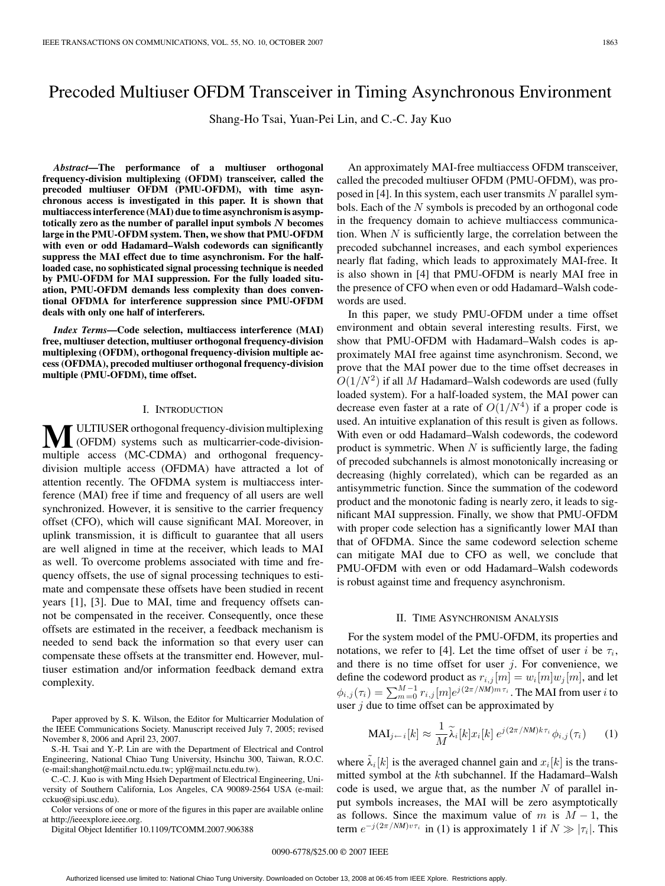# Precoded Multiuser OFDM Transceiver in Timing Asynchronous Environment

Shang-Ho Tsai, Yuan-Pei Lin, and C.-C. Jay Kuo

*Abstract***—The performance of a multiuser orthogonal frequency-division multiplexing (OFDM) transceiver, called the precoded multiuser OFDM (PMU-OFDM), with time asynchronous access is investigated in this paper. It is shown that multiaccess interference (MAI) due to time asynchronism is asymptotically zero as the number of parallel input symbols** *N* **becomes large in the PMU-OFDM system. Then, we show that PMU-OFDM with even or odd Hadamard–Walsh codewords can significantly suppress the MAI effect due to time asynchronism. For the halfloaded case, no sophisticated signal processing technique is needed by PMU-OFDM for MAI suppression. For the fully loaded situation, PMU-OFDM demands less complexity than does conventional OFDMA for interference suppression since PMU-OFDM deals with only one half of interferers.**

*Index Terms***—Code selection, multiaccess interference (MAI) free, multiuser detection, multiuser orthogonal frequency-division multiplexing (OFDM), orthogonal frequency-division multiple access (OFDMA), precoded multiuser orthogonal frequency-division multiple (PMU-OFDM), time offset.**

#### I. INTRODUCTION

**M**ULTIUSER orthogonal frequency-division multiplexing<br>
(OFDM) systems such as multicarrier-code-division-<br>
multiple access (MC CDMA) and orthogonal frequency multiple access (MC-CDMA) and orthogonal frequencydivision multiple access (OFDMA) have attracted a lot of attention recently. The OFDMA system is multiaccess interference (MAI) free if time and frequency of all users are well synchronized. However, it is sensitive to the carrier frequency offset (CFO), which will cause significant MAI. Moreover, in uplink transmission, it is difficult to guarantee that all users are well aligned in time at the receiver, which leads to MAI as well. To overcome problems associated with time and frequency offsets, the use of signal processing techniques to estimate and compensate these offsets have been studied in recent years [1], [3]. Due to MAI, time and frequency offsets cannot be compensated in the receiver. Consequently, once these offsets are estimated in the receiver, a feedback mechanism is needed to send back the information so that every user can compensate these offsets at the transmitter end. However, multiuser estimation and/or information feedback demand extra complexity.

Paper approved by S. K. Wilson, the Editor for Multicarrier Modulation of the IEEE Communications Society. Manuscript received July 7, 2005; revised November 8, 2006 and April 23, 2007.

S.-H. Tsai and Y.-P. Lin are with the Department of Electrical and Control Engineering, National Chiao Tung University, Hsinchu 300, Taiwan, R.O.C. (e-mail:shanghot@mail.nctu.edu.tw; ypl@mail.nctu.edu.tw).

C.-C. J. Kuo is with Ming Hsieh Department of Electrical Engineering, University of Southern California, Los Angeles, CA 90089-2564 USA (e-mail: cckuo@sipi.usc.edu).

Color versions of one or more of the figures in this paper are available online at http://ieeexplore.ieee.org.

Digital Object Identifier 10.1109/TCOMM.2007.906388

An approximately MAI-free multiaccess OFDM transceiver, called the precoded multiuser OFDM (PMU-OFDM), was proposed in [4]. In this system, each user transmits N parallel symbols. Each of the  $N$  symbols is precoded by an orthogonal code in the frequency domain to achieve multiaccess communication. When  $N$  is sufficiently large, the correlation between the precoded subchannel increases, and each symbol experiences nearly flat fading, which leads to approximately MAI-free. It is also shown in [4] that PMU-OFDM is nearly MAI free in the presence of CFO when even or odd Hadamard–Walsh codewords are used.

In this paper, we study PMU-OFDM under a time offset environment and obtain several interesting results. First, we show that PMU-OFDM with Hadamard–Walsh codes is approximately MAI free against time asynchronism. Second, we prove that the MAI power due to the time offset decreases in  $O(1/N^2)$  if all M Hadamard–Walsh codewords are used (fully loaded system). For a half-loaded system, the MAI power can decrease even faster at a rate of  $O(1/N^4)$  if a proper code is used. An intuitive explanation of this result is given as follows. With even or odd Hadamard–Walsh codewords, the codeword product is symmetric. When  $N$  is sufficiently large, the fading of precoded subchannels is almost monotonically increasing or decreasing (highly correlated), which can be regarded as an antisymmetric function. Since the summation of the codeword product and the monotonic fading is nearly zero, it leads to significant MAI suppression. Finally, we show that PMU-OFDM with proper code selection has a significantly lower MAI than that of OFDMA. Since the same codeword selection scheme can mitigate MAI due to CFO as well, we conclude that PMU-OFDM with even or odd Hadamard–Walsh codewords is robust against time and frequency asynchronism.

#### II. TIME ASYNCHRONISM ANALYSIS

For the system model of the PMU-OFDM, its properties and notations, we refer to [4]. Let the time offset of user i be  $\tau_i$ , and there is no time offset for user  $j$ . For convenience, we define the codeword product as  $r_{i,j}[m] = w_i[m]w_j[m]$ , and let  $\phi_{i,j}(\tau_i) = \sum_{m=0}^{M-1} r_{i,j}[m] e^{j(2\pi/NM)m\tau_i}$  . The MAI from user  $i$  to user  $j$  due to time offset can be approximated by

$$
\text{MAI}_{j \leftarrow i}[k] \approx \frac{1}{M} \widetilde{\lambda}_i[k] x_i[k] e^{j(2\pi/NM)k\tau_i} \phi_{i,j}(\tau_i) \tag{1}
$$

where  $\tilde{\lambda}_i[k]$  is the averaged channel gain and  $x_i[k]$  is the transmitted symbol at the kth subchannel. If the Hadamard–Walsh code is used, we argue that, as the number  $N$  of parallel input symbols increases, the MAI will be zero asymptotically as follows. Since the maximum value of m is  $M - 1$ , the term  $e^{-j(2\pi/NM)v\tau_i}$  in (1) is approximately 1 if  $N \gg |\tau_i|$ . This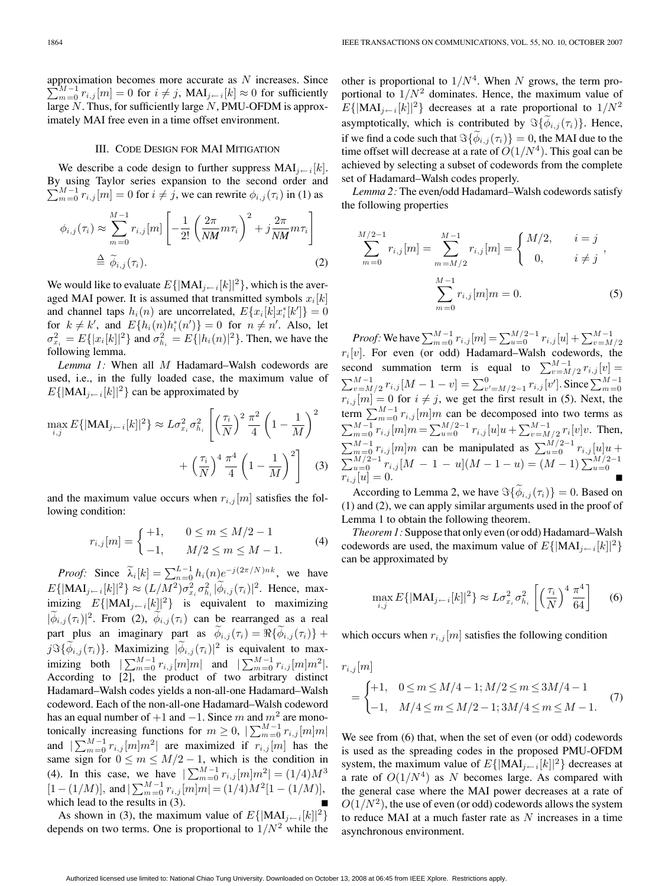approximation becomes more accurate as N increases. Since  $\sum_{m=0}^{M-1} r_{i,j}[m]=0$  for  $i \neq j$ ,  $\text{MAI}_{j \leftarrow i}[k] \approx 0$  for sufficiently large  $N$ . Thus, for sufficiently large  $N$ , PMU-OFDM is approximately MAI free even in a time offset environment.

#### III. CODE DESIGN FOR MAI MITIGATION

We describe a code design to further suppress  $\text{MAI}_{i\leftarrow i}[k].$ By using Taylor series expansion to the second order and  $\sum_{m=0}^{M-1} r_{i,j}[m] = 0$  for  $i \neq j$ , we can rewrite  $\phi_{i,j}(\tau_i)$  in (1) as

$$
\phi_{i,j}(\tau_i) \approx \sum_{m=0}^{M-1} r_{i,j}[m] \left[ -\frac{1}{2!} \left( \frac{2\pi}{NM} m \tau_i \right)^2 + j \frac{2\pi}{NM} m \tau_i \right]
$$
  

$$
\stackrel{\Delta}{=} \widetilde{\phi}_{i,j}(\tau_i).
$$
 (2)

We would like to evaluate  $E\{|\text{MAI}_{j \leftarrow i}[k]|^2\}$ , which is the averaged MAI power. It is assumed that transmitted symbols  $x_i[k]$ and channel taps  $h_i(n)$  are uncorrelated,  $E\{x_i[k]x_i^*[k']\}=0$ for  $k \neq k'$ , and  $E\{h_i(n)h_i^*(n')\} = 0$  for  $n \neq n'$ . Also, let  $\sigma_{x_i}^2 = E{ |x_i[k]|^2 }$  and  $\sigma_{h_i}^2 = E{ |h_i(n)|^2 }$ . Then, we have the following lemma.

*Lemma 1:* When all M Hadamard–Walsh codewords are used, i.e., in the fully loaded case, the maximum value of  $E\{|\text{MAI}_{j\leftarrow i}[k]|^2\}$  can be approximated by

$$
\max_{i,j} E\{|\text{MAI}_{j\leftarrow i}[k]|^2\} \approx L\sigma_{x_i}^2 \sigma_{h_i}^2 \left[ \left(\frac{\tau_i}{N}\right)^2 \frac{\pi^2}{4} \left(1 - \frac{1}{M}\right)^2 + \left(\frac{\tau_i}{N}\right)^4 \frac{\pi^4}{4} \left(1 - \frac{1}{M}\right)^2 \right]
$$
(3)

and the maximum value occurs when  $r_{i,j}[m]$  satisfies the following condition:

$$
r_{i,j}[m] = \begin{cases} +1, & 0 \le m \le M/2 - 1 \\ -1, & M/2 \le m \le M - 1. \end{cases}
$$
 (4)

*Proof:* Since  $\widetilde{\lambda}_i[k] = \sum_{n=0}^{L-1} h_i(n) e^{-j(2\pi/N)nk}$ , we have  $E\{|\text{MAI}_{j \leftarrow i}[k]|^2\} \approx (L/M^2) \sigma_{x_i}^2 \sigma_{h_i}^2 |\tilde{\phi}_{i,j}(\tau_i)|^2$ . Hence, maximizing  $E\{|\text{MAI}_{j\leftarrow i}[k]|^2\}$  is equivalent to maximizing  $|\phi_{i,j}(\tau_i)|^2$ . From (2),  $\phi_{i,j}(\tau_i)$  can be rearranged as a real part plus an imaginary part as  $\phi_{i,j}(\tau_i) = \Re{\{\phi_{i,j}(\tau_i)\}} +$  $j\Im{\{\widetilde{\phi}_{i,j}(\tau_i)\}}$ . Maximizing  $|\widetilde{\phi}_{i,j}(\tau_i)|^2$  is equivalent to maximizing both  $|\sum_{m=0}^{M-1} r_{i,j}[m]m|$  and  $|\sum_{m=0}^{M-1} r_{i,j}[m]m^2|$ . According to [2], the product of two arbitrary distinct Hadamard–Walsh codes yields a non-all-one Hadamard–Walsh codeword. Each of the non-all-one Hadamard–Walsh codeword has an equal number of  $+1$  and  $-1$ . Since m and  $m<sup>2</sup>$  are monotonically increasing functions for  $m \ge 0$ ,  $\sum_{m=0}^{M-1} r_{i,j}[m]m$ and  $|\sum_{m=0}^{M-1} r_{i,j}[m]m^2|$  are maximized if  $r_{i,j}[m]$  has the same sign for  $0 \le m \le M/2 - 1$ , which is the condition in (4). In this case, we have  $|\sum_{m=0}^{M-1} r_{i,j}[m]m^2| = (1/4)M^3$  $[1-(1/M)],$  and  $\sum_{m=0}^{M-1} r_{i,j}[m]m$  =  $(1/4)M^2[1-(1/M)],$ which lead to the results in  $(3)$ .

As shown in (3), the maximum value of  $E\{|\text{MAI}_{j \leftarrow i}[k]|^2\}$ depends on two terms. One is proportional to  $1/N^2$  while the other is proportional to  $1/N<sup>4</sup>$ . When N grows, the term proportional to  $1/N^2$  dominates. Hence, the maximum value of  $E\{|\text{MAI}_{j\leftarrow i}[k]|^2\}$  decreases at a rate proportional to  $1/N^2$ asymptotically, which is contributed by  $\Im{\lbrace \phi_{i,j}(\tau_i) \rbrace}$ . Hence, if we find a code such that  $\Im{\lbrace \phi_{i,j}(\tau_i) \rbrace} = 0$ , the MAI due to the time offset will decrease at a rate of  $O(1/N^4)$ . This goal can be achieved by selecting a subset of codewords from the complete set of Hadamard–Walsh codes properly.

*Lemma 2:* The even/odd Hadamard–Walsh codewords satisfy the following properties

$$
\sum_{m=0}^{M/2-1} r_{i,j}[m] = \sum_{m=M/2}^{M-1} r_{i,j}[m] = \begin{cases} M/2, & i = j \\ 0, & i \neq j \end{cases},
$$

$$
\sum_{m=0}^{M-1} r_{i,j}[m]m = 0.
$$
 (5)

*Proof:* We have  $\sum_{m=0}^{M-1} r_{i,j}[m] = \sum_{u=0}^{M/2-1} r_{i,j}[u] + \sum_{v=M/2}^{M-1} r_{i,j}[u]$  $r_i[v]$ . For even (or odd) Hadamard–Walsh codewords, the second summation term is equal to  $\sum_{v=M/2}^{M-1} r_{i,j}[v] =$  $\sum_{v=M/2}^{M-1} r_{i,j} [M-1-v] = \sum_{v'=M/2-1}^{0} r_{i,j} [v']$ . Since  $\sum_{m=0}^{M-1} r_{i,j} [m] = 0$  for  $i \neq j$ , we get the first result in (5). Next, the term  $\sum_{m=0}^{M-1} r_{i,j}[m]m$  can be decomposed into two terms as  $\sum_{m=0}^{M-1} r_{i,j}[m]m = \sum_{u=0}^{M/2-1} r_{i,j}[u]u + \sum_{v=M/2}^{M-1} r_i[v]v$ . Then,  $\sum_{m=0}^{M-1} r_{i,j}[m]m$  can be manipulated as  $\sum_{u=0}^{M/2-1} r_{i,j}[u]u +$  $\sum_{u=0}^{M/2-1} r_{i,j} [M - 1 - u](M - 1 - u) = (M - 1) \sum_{u=0}^{M/2-1} r_{i,j} [u] = 0.$ 

According to Lemma 2, we have  $\Im{\lbrace \phi_{i,j}(\tau_i) \rbrace} = 0$ . Based on (1) and (2), we can apply similar arguments used in the proof of Lemma 1 to obtain the following theorem.

*Theorem 1:* Suppose that only even (or odd) Hadamard–Walsh codewords are used, the maximum value of  $E\{|\text{MAI}_{j \leftarrow i}[k]|^2\}$ can be approximated by

$$
\max_{i,j} E\{|\text{MAI}_{j-i}[k]|^2\} \approx L\sigma_{x_i}^2 \sigma_{h_i}^2 \left[ \left(\frac{\tau_i}{N}\right)^4 \frac{\pi^4}{64} \right] \tag{6}
$$

which occurs when  $r_{i,j}[m]$  satisfies the following condition

$$
r_{i,j}[m]
$$
  
= 
$$
\begin{cases} +1, & 0 \le m \le M/4 - 1; M/2 \le m \le 3M/4 - 1 \\ -1, & M/4 \le m \le M/2 - 1; 3M/4 \le m \le M - 1. \end{cases}
$$
 (7)

We see from  $(6)$  that, when the set of even (or odd) codewords is used as the spreading codes in the proposed PMU-OFDM system, the maximum value of  $E\{|\text{MAI}_{j \leftarrow i}[k]|^2\}$  decreases at a rate of  $O(1/N^4)$  as N becomes large. As compared with the general case where the MAI power decreases at a rate of  $O(1/N^2)$ , the use of even (or odd) codewords allows the system to reduce MAI at a much faster rate as  $N$  increases in a time asynchronous environment.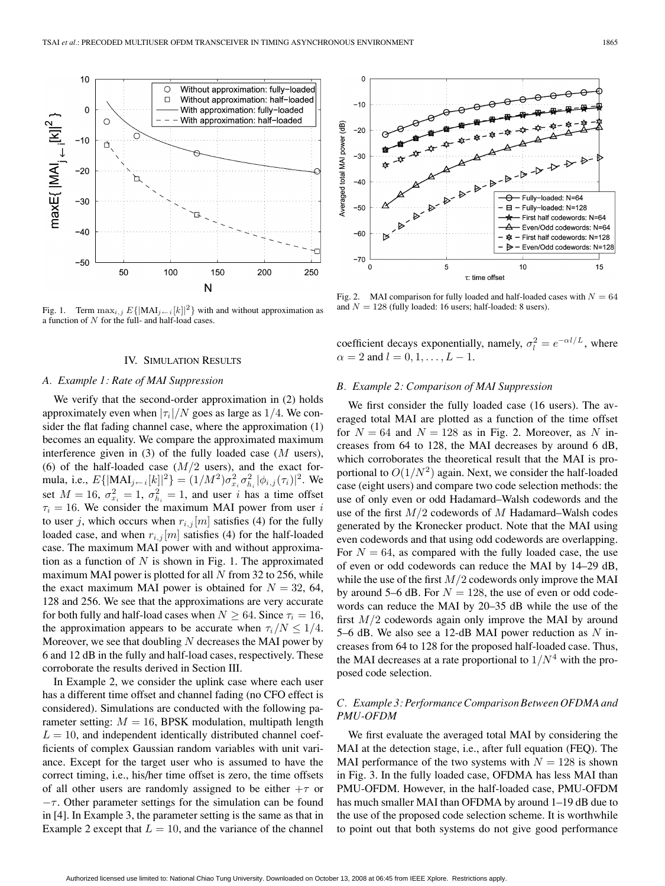

Fig. 1. Term  $\max_{i,j} E\{|MAI_{j\leftarrow i}[k]|^2\}$  with and without approximation as a function of N for the full- and half-load cases.

### IV. SIMULATION RESULTS

## *A. Example 1: Rate of MAI Suppression*

We verify that the second-order approximation in (2) holds approximately even when  $|\tau_i|/N$  goes as large as 1/4. We consider the flat fading channel case, where the approximation (1) becomes an equality. We compare the approximated maximum interference given in  $(3)$  of the fully loaded case  $(M$  users), (6) of the half-loaded case  $(M/2)$  users), and the exact formula, i.e.,  $E\{|\text{MAI}_{j \leftarrow i}[k]|^2\} = (1/M^2)\sigma_{x_i}^2 \sigma_{h_i}^2 |\phi_{i,j}(\tau_i)|^2$ . We set  $M = 16$ ,  $\sigma_{x_i}^2 = 1$ ,  $\sigma_{h_i}^2 = 1$ , and user *i* has a time offset  $\tau_i = 16$ . We consider the maximum MAI power from user i to user j, which occurs when  $r_{i,j}[m]$  satisfies (4) for the fully loaded case, and when  $r_{i,j}[m]$  satisfies (4) for the half-loaded case. The maximum MAI power with and without approximation as a function of  $N$  is shown in Fig. 1. The approximated maximum MAI power is plotted for all  $N$  from 32 to 256, while the exact maximum MAI power is obtained for  $N = 32, 64$ , 128 and 256. We see that the approximations are very accurate for both fully and half-load cases when  $N \geq 64$ . Since  $\tau_i = 16$ , the approximation appears to be accurate when  $\tau_i/N \leq 1/4$ . Moreover, we see that doubling  $N$  decreases the MAI power by 6 and 12 dB in the fully and half-load cases, respectively. These corroborate the results derived in Section III.

In Example 2, we consider the uplink case where each user has a different time offset and channel fading (no CFO effect is considered). Simulations are conducted with the following parameter setting:  $M = 16$ , BPSK modulation, multipath length  $L = 10$ , and independent identically distributed channel coefficients of complex Gaussian random variables with unit variance. Except for the target user who is assumed to have the correct timing, i.e., his/her time offset is zero, the time offsets of all other users are randomly assigned to be either  $+\tau$  or  $-\tau$ . Other parameter settings for the simulation can be found in [4]. In Example 3, the parameter setting is the same as that in Example 2 except that  $L = 10$ , and the variance of the channel



Fig. 2. MAI comparison for fully loaded and half-loaded cases with  $N = 64$ and  $N = 128$  (fully loaded: 16 users; half-loaded: 8 users).

coefficient decays exponentially, namely,  $\sigma_l^2 = e^{-\alpha l/L}$ , where  $\alpha = 2$  and  $l = 0, 1, \ldots, L - 1$ .

## *B. Example 2: Comparison of MAI Suppression*

We first consider the fully loaded case (16 users). The averaged total MAI are plotted as a function of the time offset for  $N = 64$  and  $N = 128$  as in Fig. 2. Moreover, as N increases from 64 to 128, the MAI decreases by around 6 dB, which corroborates the theoretical result that the MAI is proportional to  $O(1/N^2)$  again. Next, we consider the half-loaded case (eight users) and compare two code selection methods: the use of only even or odd Hadamard–Walsh codewords and the use of the first  $M/2$  codewords of M Hadamard–Walsh codes generated by the Kronecker product. Note that the MAI using even codewords and that using odd codewords are overlapping. For  $N = 64$ , as compared with the fully loaded case, the use of even or odd codewords can reduce the MAI by 14–29 dB, while the use of the first  $M/2$  codewords only improve the MAI by around 5–6 dB. For  $N = 128$ , the use of even or odd codewords can reduce the MAI by 20–35 dB while the use of the first  $M/2$  codewords again only improve the MAI by around 5–6 dB. We also see a 12-dB MAI power reduction as  $N$  increases from 64 to 128 for the proposed half-loaded case. Thus, the MAI decreases at a rate proportional to  $1/N<sup>4</sup>$  with the proposed code selection.

## *C. Example 3: Performance Comparison Between OFDMA and PMU-OFDM*

We first evaluate the averaged total MAI by considering the MAI at the detection stage, i.e., after full equation (FEQ). The MAI performance of the two systems with  $N = 128$  is shown in Fig. 3. In the fully loaded case, OFDMA has less MAI than PMU-OFDM. However, in the half-loaded case, PMU-OFDM has much smaller MAI than OFDMA by around 1-19 dB due to the use of the proposed code selection scheme. It is worthwhile to point out that both systems do not give good performance